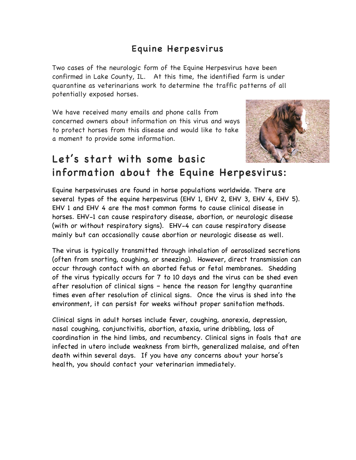### Equine Herpesvirus

Two cases of the neurologic form of the Equine Herpesvirus have been confirmed in Lake County, IL. At this time, the identified farm is under quarantine as veterinarians work to determine the traffic patterns of all potentially exposed horses.

We have received many emails and phone calls from concerned owners about information on this virus and ways to protect horses from this disease and would like to take a moment to provide some information.



# Let's start with some basic information about the Equine Herpesvirus:

Equine herpesviruses are found in horse populations worldwide. There are several types of the equine herpesvirus (EHV 1, EHV 2, EHV 3, EHV 4, EHV 5). EHV 1 and EHV 4 are the most common forms to cause clinical disease in horses. EHV-1 can cause respiratory disease, abortion, or neurologic disease (with or without respiratory signs). EHV-4 can cause respiratory disease mainly but can occasionally cause abortion or neurologic disease as well.

The virus is typically transmitted through inhalation of aerosolized secretions (often from snorting, coughing, or sneezing). However, direct transmission can occur through contact with an aborted fetus or fetal membranes. Shedding of the virus typically occurs for 7 to 10 days and the virus can be shed even after resolution of clinical signs – hence the reason for lengthy quarantine times even after resolution of clinical signs. Once the virus is shed into the environment, it can persist for weeks without proper sanitation methods.

Clinical signs in adult horses include fever, coughing, anorexia, depression, nasal coughing, conjunctivitis, abortion, ataxia, urine dribbling, loss of coordination in the hind limbs, and recumbency. Clinical signs in foals that are infected in utero include weakness from birth, generalized malaise, and often death within several days. If you have any concerns about your horse's health, you should contact your veterinarian immediately.